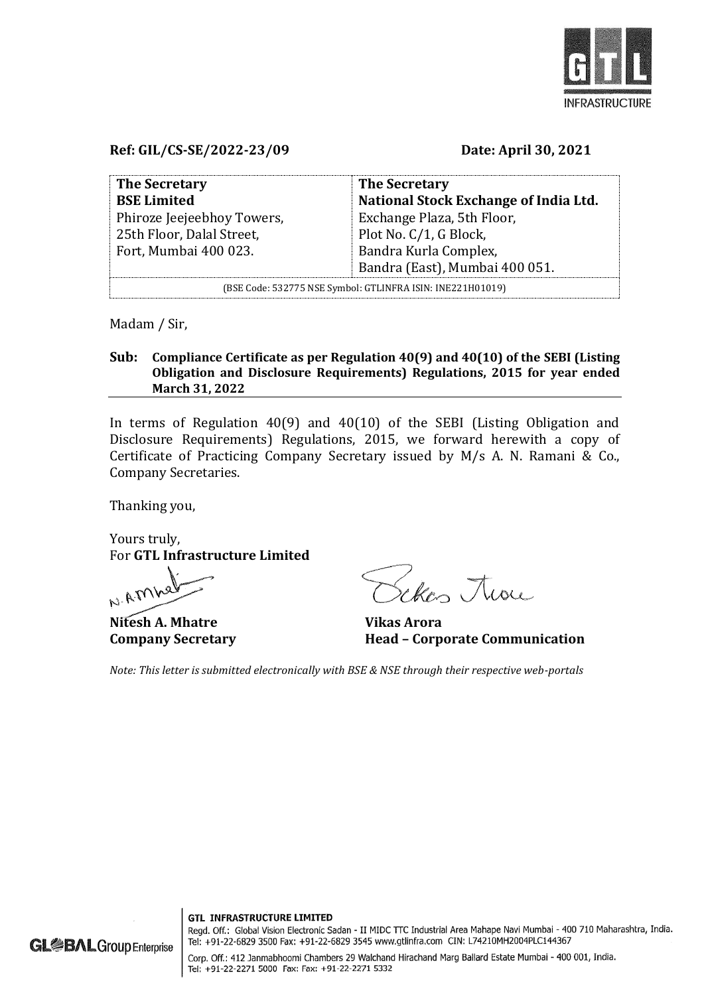

**Ref: GIL/CS-SE/2022-23/09 Date: April 30, 2021**

| <b>The Secretary</b><br><b>BSE Limited</b>                                       | <b>The Secretary</b><br>National Stock Exchange of India Ltd.                                                   |
|----------------------------------------------------------------------------------|-----------------------------------------------------------------------------------------------------------------|
| Phiroze Jeejeebhoy Towers,<br>25th Floor, Dalal Street,<br>Fort, Mumbai 400 023. | Exchange Plaza, 5th Floor,<br>Plot No. C/1, G Block,<br>Bandra Kurla Complex,<br>Bandra (East), Mumbai 400 051. |
| (BSE Code: 532775 NSE Symbol: GTLINFRA ISIN: INE221H01019)                       |                                                                                                                 |

Madam / Sir,

## **Sub: Compliance Certificate as per Regulation 40(9) and 40(10) of the SEBI (Listing Obligation and Disclosure Requirements) Regulations, 2015 for year ended March 31, 2022**

In terms of Regulation 40(9) and 40(10) of the SEBI (Listing Obligation and Disclosure Requirements) Regulations, 2015, we forward herewith a copy of Certificate of Practicing Company Secretary issued by M/s A. N. Ramani & Co., Company Secretaries.

Thanking you,

Yours truly, For **GTL Infrastructure Limited** 

N. A.Mile

**Nitesh A. Mhatre Vikas Arora**

Sekon Twee

**Company Secretary Head – Corporate Communication**

*Note: This letter is submitted electronically with BSE & NSE through their respective web-portals*

Regd. Off.: Global Vision Electronic Sadan - II MIDC TTC Industrial Area Mahape Navi Mumbai - 400 710 Maharashtra, India. Tel: +91-22-6829 3500 Fax: +91-22-6829 3545 www.gtlinfra.com CIN: L74210MH2004PLC144367

Corp. Off.: 412 Janmabhoomi Chambers 29 Walchand Hirachand Marg Ballard Estate Mumbai - 400 001, India. Tel: +91-22-2271 5000 Fax: Fax: +91-22-2271 5332